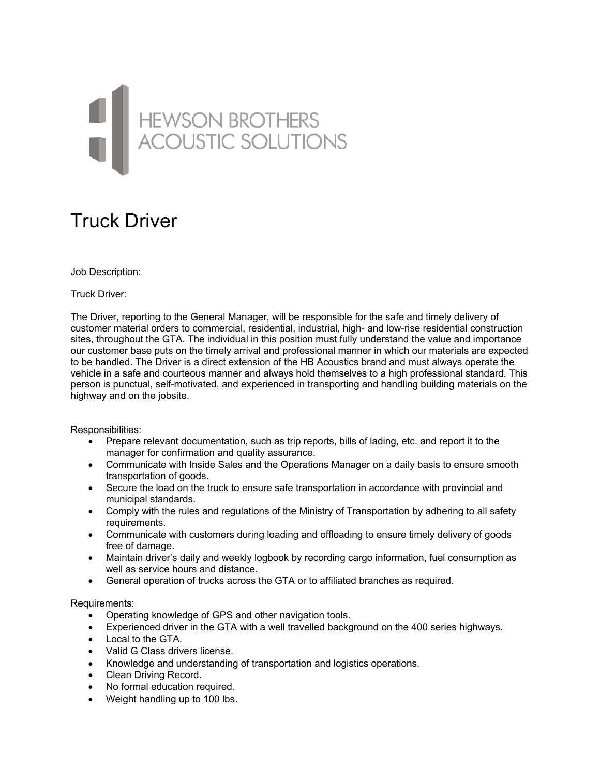## HEWSON BROTHERS<br>ACOUSTIC SOLUTIONS

## Truck Driver

## Job Description:

Truck Driver:

The Driver, reporting to the General Manager, will be responsible for the safe and timely delivery of customer material orders to commercial, residential, industrial, high- and low-rise residential construction sites, throughout the GTA. The individual in this position must fully understand the value and importance our customer base puts on the timely arrival and professional manner in which our materials are expected to be handled. The Driver is a direct extension of the HB Acoustics brand and must always operate the vehicle in a safe and courteous manner and always hold themselves to a high professional standard. This person is punctual, self-motivated, and experienced in transporting and handling building materials on the highway and on the jobsite.

Responsibilities:

- Prepare relevant documentation, such as trip reports, bills of lading, etc. and report it to the manager for confirmation and quality assurance.
- Communicate with Inside Sales and the Operations Manager on a daily basis to ensure smooth transportation of goods.
- Secure the load on the truck to ensure safe transportation in accordance with provincial and municipal standards.
- Comply with the rules and regulations of the Ministry of Transportation by adhering to all safety requirements.
- Communicate with customers during loading and offloading to ensure timely delivery of goods free of damage.
- Maintain driver's daily and weekly logbook by recording cargo information, fuel consumption as well as service hours and distance.
- General operation of trucks across the GTA or to affiliated branches as required.

Requirements:

- Operating knowledge of GPS and other navigation tools.
- Experienced driver in the GTA with a well travelled background on the 400 series highways.
- Local to the GTA
- Valid G Class drivers license.
- Knowledge and understanding of transportation and logistics operations.
- Clean Driving Record.
- No formal education required.
- Weight handling up to 100 lbs.